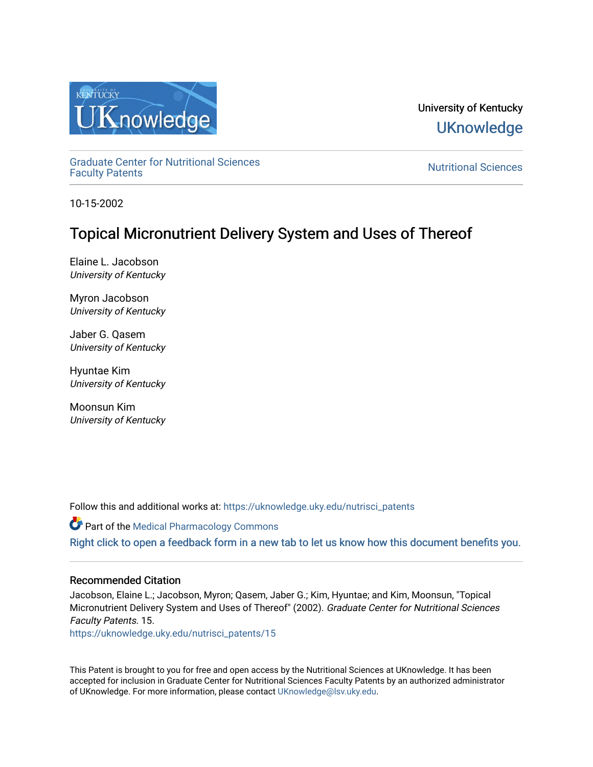

University of Kentucky **UKnowledge** 

[Graduate Center for Nutritional Sciences](https://uknowledge.uky.edu/nutrisci_patents) 

**Nutritional Sciences** 

10-15-2002

# Topical Micronutrient Delivery System and Uses of Thereof

Elaine L. Jacobson University of Kentucky

Myron Jacobson University of Kentucky

Jaber G. Qasem University of Kentucky

Hyuntae Kim University of Kentucky

Moonsun Kim University of Kentucky

Follow this and additional works at: [https://uknowledge.uky.edu/nutrisci\\_patents](https://uknowledge.uky.edu/nutrisci_patents?utm_source=uknowledge.uky.edu%2Fnutrisci_patents%2F15&utm_medium=PDF&utm_campaign=PDFCoverPages)

Part of the [Medical Pharmacology Commons](http://network.bepress.com/hgg/discipline/960?utm_source=uknowledge.uky.edu%2Fnutrisci_patents%2F15&utm_medium=PDF&utm_campaign=PDFCoverPages)  [Right click to open a feedback form in a new tab to let us know how this document benefits you.](https://uky.az1.qualtrics.com/jfe/form/SV_9mq8fx2GnONRfz7)

## Recommended Citation

Jacobson, Elaine L.; Jacobson, Myron; Qasem, Jaber G.; Kim, Hyuntae; and Kim, Moonsun, "Topical Micronutrient Delivery System and Uses of Thereof" (2002). Graduate Center for Nutritional Sciences Faculty Patents. 15.

[https://uknowledge.uky.edu/nutrisci\\_patents/15](https://uknowledge.uky.edu/nutrisci_patents/15?utm_source=uknowledge.uky.edu%2Fnutrisci_patents%2F15&utm_medium=PDF&utm_campaign=PDFCoverPages) 

This Patent is brought to you for free and open access by the Nutritional Sciences at UKnowledge. It has been accepted for inclusion in Graduate Center for Nutritional Sciences Faculty Patents by an authorized administrator of UKnowledge. For more information, please contact [UKnowledge@lsv.uky.edu.](mailto:UKnowledge@lsv.uky.edu)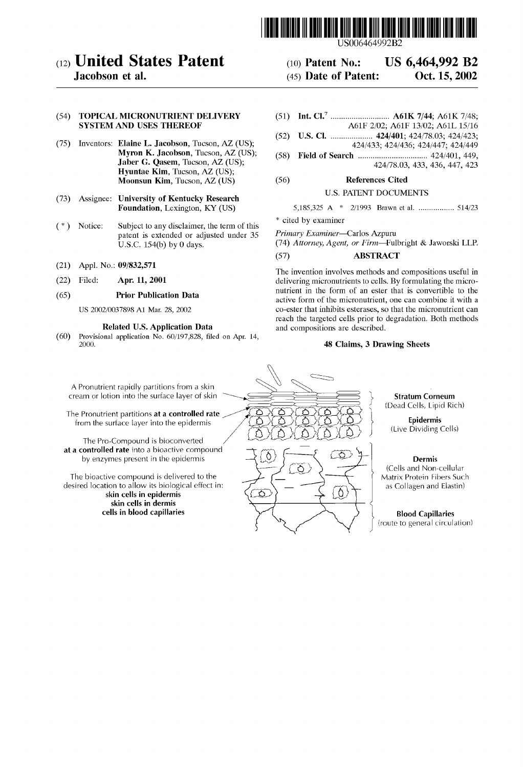

## (12) United States Patent

Jacobson et al.

## (54) TOPICAL MICRONUTRIENT DELIVERY SYSTEM AND USES THEREOF

- (75) Inventors: Elaine L. Jacobson, Tucson, AZ (US); Myron K. Jacobson, Tucson, AZ (US); Jaber G. Qasem, Tucson, AZ (US); Hyuntae Kim, Tucson, AZ (US); Moonsun Kim, Tucson, AZ (US)
- (73) Assignee: University of Kentucky Research Foundation, Lexington, KY (US)
- ( \* ) Notice: Subject to any disclaimer, the term of this patent is extended or adjusted under 35 U.S.C. 154(b) by 0 days.
- (21) Appl. No.: 09/832,571
- (22) Filed: Apr. 11, 2001

## (65) Prior Publication Data

US 2002/0037898 A1 Mar. 28, 2002

## Related US. Application Data

 $(60)$  Provisional application No.  $60/197,828$ , filed on Apr. 14, 2000.

(51) Int. Cl.7 .......................... .. A61K 7/44; A61K 7/48; A61F 2/02; A61F 13/02; A61L 15/16

US 6,464,992 B2

Oct. 15, 2002

- (52) us. Cl. .................. .. 424/401; 424/7s.o3; 424/423; 424/433; 424/436; 424/447; 424/449
- (58) Field of Search ............................... .. 424/401, 449, 424/78.03, 433, 436, 447, 423

## (56) References Cited

## U.S. PATENT DOCUMENTS

| * cited by examiner |  |  |
|---------------------|--|--|

(10) Patent N0.: (45) Date of Patent:

Primary Examiner—Carlos AZpuru

(74) Attorney, Agent, or Firm-Fulbright & Jaworski LLP. (57) ABSTRACT

The invention involves methods and compositions useful in delivering micronutrients to cells. By formulating the micro nutrient in the form of an ester that is convertible to the active form of the micronutrient, one can combine it With a co-ester that inhibits esterases, so that the micronutrient can reach the targeted cells prior to degradation. Both methods and compositions are described.

## 48 Claims, 3 Drawing Sheets

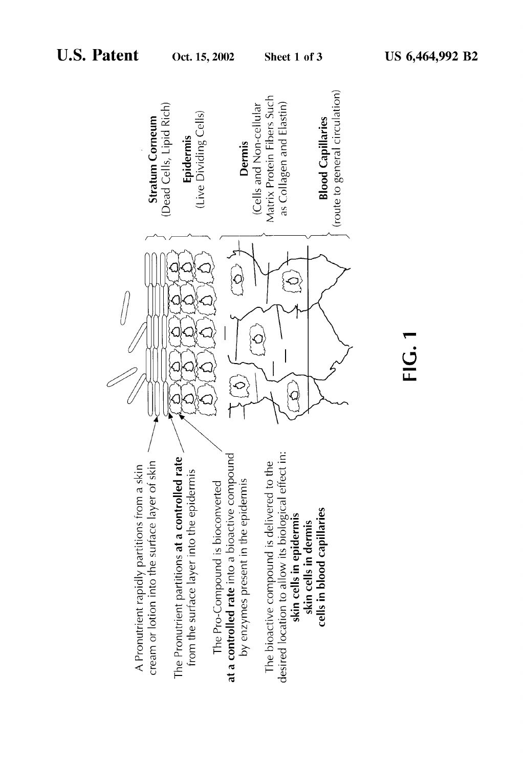

ن<br><u>∟ن</u>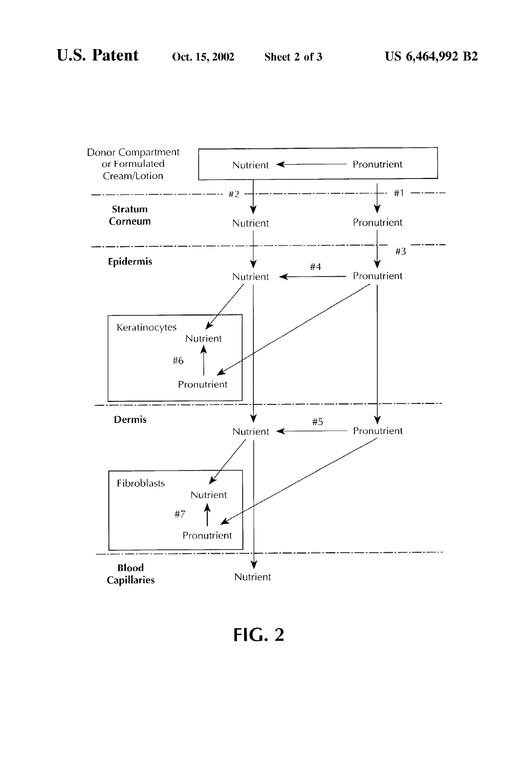

 $FIG. 2$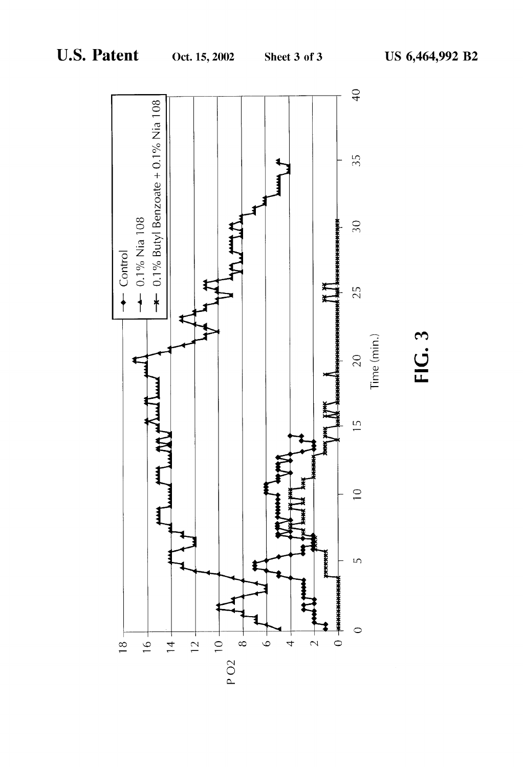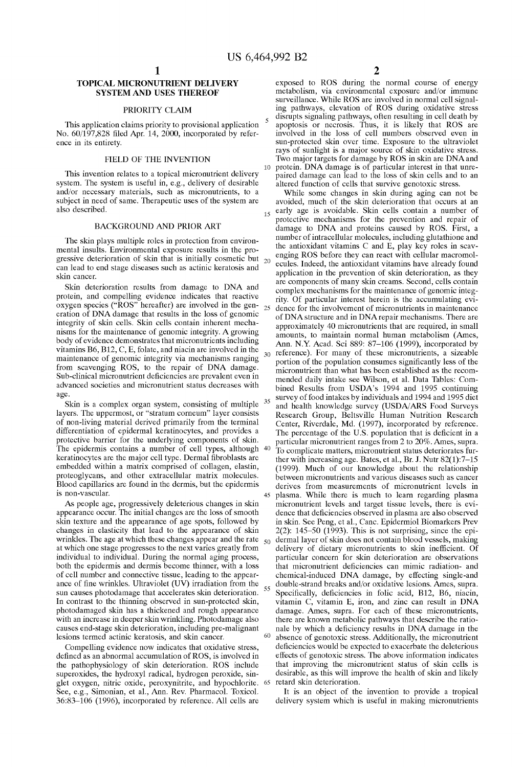## TOPICAL MICRONUTRIENT DELIVERY SYSTEM AND USES THEREOF

## PRIORITY CLAIM

This application claims priority to provisional application No. 60/197,828 filed Apr. 14, 2000, incorporated by reference in its entirety.

## FIELD OF THE INVENTION

This invention relates to a topical micronutrient delivery system. The system is useful in, e.g., delivery of desirable and/or necessary materials, such as micronutrients, to a subject in need of same. Therapeutic uses of the system are also described.

## BACKGROUND AND PRIOR ART

The skin plays multiple roles in protection from environ mental insults. Environmental exposure results in the pro gressive deterioration of skin that is initially cosmetic but  $_{20}$ can lead to end stage diseases such as actinic keratosis and skin cancer.

Skin deterioration results from damage to DNA and protein, and compelling evidence indicates that reactive oxygen species ("ROS" hereafter) are involved in the gen eration of DNA damage that results in the loss of genomic integrity of skin cells. Skin cells contain inherent mecha nisms for the maintenance of genomic integrity. A growing body of evidence demonstrates that micronutrients including vitamins B6, B12, C, E, folate, and niacin are involved in the maintenance of genomic integrity via mechanisms ranging from scavenging ROS, to the repair of DNA damage. Sub-clinical micronutrient deficiencies are prevalent even in advanced societies and micronutrient status decreases With age.

Skin is a complex organ system, consisting of multiple  $35$ layers. The uppermost, or "stratum corneum" layer consists of non-living material derived primarily from the terminal differentiation of epidermal keratinocytes, and provides a protective barrier for the underlying components of skin. The epidermis contains a number of cell types, although keratinocytes are the major cell type. Dermal fibroblasts are embedded Within a matrix comprised of collagen, elastin, proteoglycans, and other extracellular matrix molecules. Blood capillaries are found in the dermis, but the epidermis is non-vascular.

As people age, progressively deleterious changes in skin appearance occur. The initial changes are the loss of smooth skin texture and the appearance of age spots, followed by changes in elasticity that lead to the appearance of skin Wrinkles. The age at Which these changes appear and the rate at Which one stage progresses to the next varies greatly from individual to individual. During the normal aging process, both the epidermis and dermis become thinner, With a loss of cell number and connective tissue, leading to the appear ance of fine wrinkles. Ultraviolet  $(UV)$  irradiation from the sun causes photodamage that accelerates skin deterioration. In contrast to the thinning observed in sun-protected skin, photodamaged skin has a thickened and rough appearance With an increase in deeper skin Wrinkling. Photodamage also causes end-stage skin deterioration, including pre-malignant lesions termed actinic keratosis, and skin cancer.

Compelling evidence now indicates that oxidative stress, defined as an abnormal accumulation of ROS, is involved in the pathophysiology of skin deterioration. ROS include superoxides, the hydroxyl radical, hydrogen peroxide, singlet oxygen, nitric oxide, peroxynitrite, and hypochlorite. 65 retard skin deterioration. See, e.g., Simonian, et al., Ann. Rev. Pharmacol. Toxicol. 36:83—106 (1996), incorporated by reference. All cells are

2

10 protein. DNA damage is of particular interest in that unreexposed to ROS during the normal course of energy metabolism, via environmental exposure and/or immune surveillance. While ROS are involved in normal cell signal ing pathWays, elevation of ROS during oxidative stress disrupts signaling pathWays, often resulting in cell death by apoptosis or necrosis. Thus, it is likely that ROS are involved in the loss of cell numbers observed even in sun-protected skin over time. Exposure to the ultraviolet rays of sunlight is a major source of skin oxidative stress. TWo major targets for damage by ROS in skin are DNA and paired damage can lead to the loss of skin cells and to an altered function of cells that survive genotoxic stress.

15 25 30 40 45 plasma. While there is much to learn regarding plasma 50 55 60 While some changes in skin during aging can not be avoided, much of the skin deterioration that occurs at an early age is avoidable. Skin cells contain a number of protective mechanisms for the prevention and repair of damage to DNA and proteins caused by ROS. First, a number of intracellular molecules, including glutathione and the antioxidant vitamins C and E, play key roles in scav enging ROS before they can react With cellular macromol ecules. Indeed, the antioxidant vitamins have already found application in the prevention of skin deterioration, as they are components of many skin creams. Second, cells contain complex mechanisms for the maintenance of genomic integ rity. Of particular interest herein is the accumulating evi dence for the involvement of micronutrients in maintenance of DNA structure and in DNA repair mechanisms. There are approximately 40 micronutrients that are required, in small amounts, to maintain normal human metabolism (Ames, Ann. N.Y. Acad. Sci 889: 87-106 (1999), incorporated by reference). For many of these micronutrients, a sizeable portion of the population consumes significantly less of the micronutrient than What has been established as the recom mended daily intake see Wilson, et al. Data Tables: Com bined Results from USDA's 1994 and 1995 continuing survey of food intakes by individuals and 1994 and 1995 diet and health knowledge survey (USDA/ARS Food Surveys Research Group, Beltsville Human Nutrition Research Center, Riverdale, Md. (1997), incorporated by reference. The percentage of the U.S. population that is deficient in a particular micronutrient ranges from 2 to 20%. Ames, supra. To complicate matters, micronutrient status deteriorates fur ther With increasing age. Bates, et al., Br. J. Nutr 82(1):7—15 (1999). Much of our knoWledge about the relationship between micronutrients and various diseases such as cancer derives from measurements of micronutrient levels in micronutrient levels and target tissue levels, there is evi dence that deficiencies observed in plasma are also observed in skin. See Peng, et al., Canc. Epidermiol Biomarkers Prev 2(2): 145–50 (1993). This is not surprising, since the epidermal layer of skin does not contain blood vessels, making delivery of dietary micronutrients to skin inefficient. Of particular concern for skin deterioration are observations that micronutrient deficiencies can mimic radiation- and chemical-induced DNA damage, by effecting single-and double-strand breaks and/or oxidative lesions. Ames, supra. Specifically, deficiencies in folic acid, B12, B6, niacin, vitamin C, vitamin E, iron, and Zinc can result in DNA damage. Ames, supra. For each of these micronutrients, there are known metabolic pathways that describe the rationale by which a deficiency results in DNA damage in the absence of genotoxic stress. Additionally, the micronutrient deficiencies would be expected to exacerbate the deleterious effects of genotoxic stress. The above information indicates that improving the micronutrient status of skin cells is desirable, as this Will improve the health of skin and likely

It is an object of the invention to provide a tropical delivery system Which is useful in making micronutrients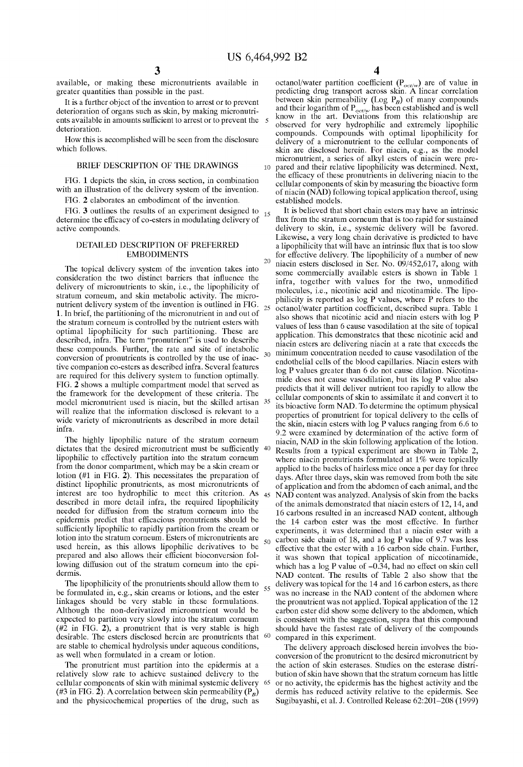10

25

30

 $50$ 

55

20

available, or making these micronutrients available in greater quantities than possible in the past.

It is a further object of the invention to arrest or to prevent deterioration of organs such as skin, by making micronutri ents available in amounts sufficient to arrest or to prevent the 5 deterioration.

HoW this is accomplished Will be seen from the disclosure which follows.

#### BRIEF DESCRIPTION OF THE DRAWINGS

FIG. 1 depicts the skin, in cross section, in combination with an illustration of the delivery system of the invention.

FIG. 2 elaborates an embodiment of the invention.

FIG. 3 outlines the results of an experiment designed to determine the efficacy of co-esters in modulating delivery of active compounds. 15

## DETAILED DESCRIPTION OF PREFERRED EMBODIMENTS

The topical delivery system of the invention takes into consideration the two distinct barriers that influence the delivery of micronutrients to skin, i.e., the lipophilicity of stratum corneum, and skin metabolic activity. The micro nutrient delivery system of the invention is outlined in FIG. 1. In brief, the partitioning of the micronutrient in and out of the stratum corneum is controlled by the nutrient esters With optimal lipophilicity for such partitioning. These are described, infra. The term "pronutrient" is used to describe these compounds. Further, the rate and site of inetabolic conversion of pronutrients is controlled by the use of inac tive companion co-esters as described infra. Several features are required for this delivery system to function optimally. FIG. 2 shows a multiple compartment model that served as the frameWork for the development of these criteria. The model micronutrient used is niacin, but the skilled artisan 35 will realize that the information disclosed is relevant to a wide variety of micronutrients as described in more detail infra.

The highly lipophilic nature of the stratum corneum<br>states that the desired micronutrient must be sufficiently 40 dictates that the desired micronutrient must be sufficiently lipophilic to effectively partition into the stratum corneum from the donor compartment, Which may be a skin cream or lotion (#1 in FIG. 2). This necessitates the preparation of distinct lipophilic pronutrients, as most micronutrients of interest are too hydrophilic to meet this criterion. As 45 described in more detail infra, the required lipophilicity needed for diffusion from the stratum corneum into the epidermis predict that efficacious pronutrients should be sufficiently lipophilic to rapidly partition from the cream or lotion into the stratum corneum. Esters of micronutrients are used herein, as this alloWs lipophilic derivatives to be prepared and also alloWs their efficient bioconversion fol lowing diffusion out of the stratum corneum into the epidermis.

The lipophilicity of the pronutrients should allow them to be formulated in, e.g., skin creams or lotions, and the ester linkages should be very stable in these formulations. Although the non-derivatized micronutrient would be expected to partition very sloWly into the stratum corneum (#2 in FIG. 2), a pronutrient that is very stable is high desirable. The esters disclosed herein are pronutrients that  $60$ desirable. The esters disclosed herein are pronutrients that are stable to chemical hydrolysis under aqueous conditions, as Well When formulated in a cream or lotion.

The pronutrient must partition into the epidermis at a relatively sloW rate to achieve sustained delivery to the cellular components of skin With minimal systemic delivery (#3 in FIG. 2). A correlation between skin permeability  $(P_B)$ and the physicochemical properties of the drug, such as 65 4

octanol/water partition coefficient  $(P_{oct/w})$  are of value in predicting drug transport across skin. A linear correlation between skin permeability (Log  $P_B$ ) of many compounds and their logarithm of  $P_{\text{oct/w}}$  has been established and is well know in the art. Deviations from this relationship are observed for very hydrophilic and extremely lipophilic compounds. Compounds with optimal lipophilicity for delivery of a micronutrient to the cellular components of skin are disclosed herein. For niacin, e.g., as the model micronutrient, a series of alkyl esters of niacin Were pre pared and their relative lipophilicity Was determined. Next, the efficacy of these pronutrients in delivering niacin to the cellular components of skin by measuring the bioactive form of niacin (NAD) folloWing topical application thereof, using established models.

It is believed that short chain esters may have an intrinsic flux from the stratum corneum that is too rapid for sustained delivery to skin, i.e., systemic delivery Will be favored. Likewise, a very long chain derivative is predicted to have a lipophilicity that will have an intrinsic flux that is too slow for effective delivery. The lipophilicity of a number of new niacin esters disclosed in Ser. No. 09/452,617, along With some commercially available esters is shown in Table 1 infra, together with values for the two, unmodified molecules, i.e., nicotinic acid and nicotinamide. The lipo philicity is reported as log P values, Where P refers to the octanol/Water partition coefficient, described supra. Table 1 also shoWs that nicotinic acid and niacin esters With log P values of less than 6 cause vasodilation at the site of topical application. This demonstrates that these nicotinic acid and niacin esters are delivering niacin at a rate that exceeds the minimum concentration needed to cause vasodilation of the endothelial cells of the blood capillaries. Niacin esters With log P values greater than 6 do not cause dilation. Nicotina mide does not cause vasodilation, but its log P value also predicts that it Will deliver nutrient too rapidly to alloW the cellular components of skin to assimilate it and convert it to its bioactive form NAD. To determine the optimum physical properties of pronutrient for topical delivery to the cells of the skin, niacin esters With log P values ranging from 6.6 to 9.2 Were examined by determination of the active form of niacin, NAD in the skin folloWing application of the lotion. Results from a typical experiment are shoWn in Table 2, where niacin pronutrients formulated at 1% were topically applied to the backs of hairless mice once a per day for three days. After three days, skin Was removed from both the site of application and from the abdomen of each animal, and the NAD content was analyzed. Analysis of skin from the backs of the animals demonstrated that niacin esters of 12, 14, and 16 carbons resulted in an increased NAD content, although the 14 carbon ester Was the most effective. In further experiments, it Was determined that a niacin ester With a carbon side chain of 18, and a log P value of 9.7 Was less effective that the ester With a 16 carbon side chain. Further, it Was shoWn that topical application of niccotinamide, which has a log P value of  $-0.34$ , had no effect on skin cell NAD content. The results of Table 2 also show that the delivery Was topical for the 14 and 16 carbon esters, as there Was no increase in the NAD content of the abdomen Where the pronutrient Was not applied. Topical application of the 12 carbon ester did shoW some delivery to the abdomen, Which is consistent With the suggestion, supra that this compound should have the fastest rate of delivery of the compounds compared in this experiment.

The delivery approach disclosed herein involves the bio conversion of the pronutrient to the desired micronutrient by the action of skin esterases. Studies on the esterase distri bution of skin have shoWn that the stratum corneum has little or no activity, the epidermis has the highest activity and the dermis has reduced activity relative to the epidermis. See Sugibayashi, et al. J. Controlled Release 62:201—208 (1999)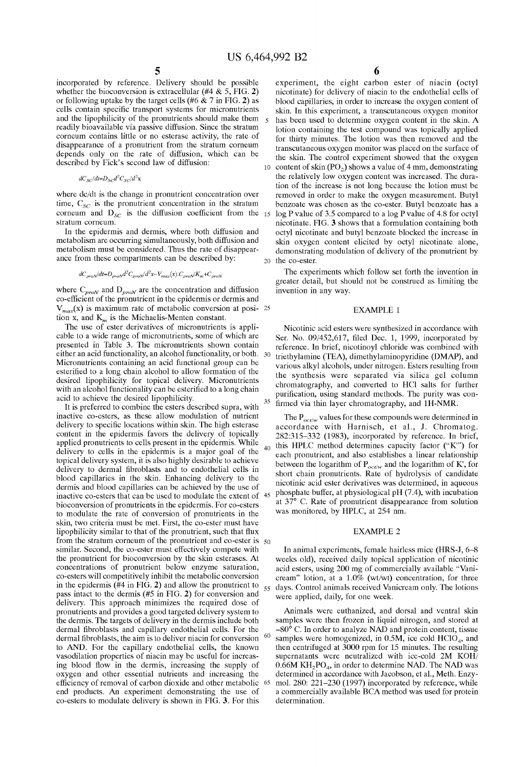30

55

60

incorporated by reference. Delivery should be possible whether the bioconversion is extracellular (#4 & 5, FIG. 2) or following uptake by the target cells (#6 & 7 in FIG. 2) as cells contain specific transport systems for micronutrients and the lipophilicity of the pronutrients should make them readily bioavailable via passive diffusion. Since the stratum corneum contains little or no esterase activity, the rate of disappearance of a pronutrient from the stratum corneum depends only on the rate of diffusion, Which can be described by Fick's second law of diffusion:

 $dC_{SC}/dt = D_{SC}d^2C_{SC}/d^2x$ 

where dc/dt is the change in pronutrient concentration over time,  $C_{SC}$  is the pronutrient concentration in the stratum stratum corneum.

In the epidermis and dermis, Where both diffusion and metabolism are occurring simultaneously, both diffusion and metabolism must be considered. Thus the rate of disappear ance from these compartments can be described by:

$$
dC_{prov} / dt = D_{prov} d^2 C_{prov} / d^2 x - V_{max}(x) \cdot C_{prov} / K_m + C_{prov}
$$

where  $C_{prox}$  and  $D_{prox}$  are the concentration and diffusion co-efficient of the pronutrient in the epidermis or dermis and  $V_{max}(x)$  is maximum rate of metabolic conversion at posi- 25 tion x, and  $K_m$  is the Michaelis-Menten constant.

The use of ester derivatives of micronutrients is appli cable to a Wide range of micronutrients, some of Which are presented in Table 3. The micronutrients shown contain either an acid functionality, an alcohol functionality, or both. Micronutrients containing an acid functional group can be esterified to a long chain alcohol to allow formation of the desired lipophilicity for topical delivery. Micronutrients with an alcohol functionality can be esterified to a long chain acid to achieve the desired lipophilicity.

It is preferred to combine the esters described supra, With inactive co-esters, as these alloW modulation of nutrient delivery to specific locations within skin. The high esterase content in the epidermis favors the delivery of topically applied pronutrients to cells present in the epidermis. While delivery to cells in the epidermis is a major goal of the topical delivery system, it is also highly desirable to achieve delivery to dermal fibroblasts and to endothelial cells in blood capillaries in the skin. Enhancing delivery to the dermis and blood capillaries can be achieved by the use of inactive co-esters that can be used to modulate the extent of bioconversion of pronutrients in the epidermis. For co-esters to modulate the rate of conversion of pronutrients in the skin, tWo criteria must be met. First, the co-ester must have lipophilicity similar to that of the pronutrient, such that flux from the stratum corneum of the pronutrient and co-ester is 50 similar. Second, the co-ester must effectively compete With the pronutrient for bioconversion by the skin esterases. At concentrations of pronutrient beloW enZyme saturation, co-esters Will competitively inhibit the metabolic conversion in the epidermis  $(\#4 \text{ in FIG. 2})$  and allow the pronutrient to pass intact to the dermis (#5 in FIG. 2) for conversion and delivery. This approach minimizes the required dose of pronutrients and provides a good targeted delivery system to the dermis. The targets of delivery in the dermis include both dermal fibroblasts and capillary endothelial cells. For the dermal fibroblasts, the aim is to deliver niacin for conversion to AND. For the capillary endothelial cells, the known vasodilation properties of niacin may be useful for increas ing blood How in the dermis, increasing the supply of oxygen and other essential nutrients and increasing the efficiency of removal of carbon dioxide and other metabolic end products. An experiment demonstrating the use of co-esters to modulate delivery is shoWn in FIG. 3. For this

6

corneum and  $D_{SC}$  is the diffusion coefficient from the 15 log P value of 3.5 compared to a log P value of 4.8 for octyl 10 content of skin  $(PO<sub>2</sub>)$  shows a value of 4 mm, demonstrating 20 the co-ester. experiment, the eight carbon ester of niacin (octyl nicotinate) for delivery of niacin to the endothelial cells of blood capillaries, in order to increase the oxygen content of skin. In this experiment, a transcutaneous oxygen monitor has been used to determine oxygen content in the skin. A lotion containing the test compound Was topically applied for thirty minutes. The lotion Was then removed and the transcutaneous oxygen monitor Was placed on the surface of the skin. The control experiment showed that the oxygen the relatively low oxygen content was increased. The duration of the increase is not long because the lotion must be removed in order to make the oxygen measurement. Butyl benzoate was chosen as the co-ester. Butyl benzoate has a nicotinate. FIG. 3 shoWs that a formulation containing both octyl nicotinate and butyl benzoate blocked the increase in skin oxygen content elicited by octyl nicotinate alone, demonstrating modulation of delivery of the pronutrient by

> The experiments which follow set forth the invention in greater detail, but should not be construed as limiting the invention in any Way.

### EXAMPLE 1

35 Nicotinic acid esters were synthesized in accordance with Ser. No. 09/452,617, filed Dec. 1, 1999, incorporated by reference. In brief, nicotinoyl chloride Was combined With triethylamine (TEA), dimethylaminopyridine (DMAP), and various alkyl alcohols, under nitrogen. Esters resulting from the synthesis Were separated via silica gel column chromatography, and converted to HCl salts for further purification, using standard methods. The purity was confirmed via thin layer chromatography, and 1H-NMR.

40 45 The  $P_{oct/w}$  values for these compounds were determined in accordance With Harnisch, et al., J. Chromatog. 282:315—332 (1983), incorporated by reference. In brief, this HPLC method determines capacity factor ("K'") for each pronutrient, and also establishes a linear relationship between the logarithm of  $P_{oct/w}$  and the logarithm of K', for short chain pronutrients. Rate of hydrolysis of candidate nicotinic acid ester derivatives Was determined, in aqueous phosphate buffer, at physiological pH (7.4), With incubation at 37° C. Rate of pronutrient disappearance from solution Was monitored, by HPLC, at 254 nm.

#### EXAMPLE 2

In animal experiments, female hairless mice (HRS-J, 6—8 Weeks old), received daily topical application of nicotinic acid esters, using 200 mg of commercially available "Vani cream" lotion, at a 1.0% (Wt/Wt) concentration, for three days. Control animals received Vanicream only. The lotions Were applied, daily, for one Week.

65 mol. 280: 221-230 (1997) incorporated by reference, while Animals were euthanized, and dorsal and ventral skin samples were then frozen in liquid nitrogen, and stored at  $-80^{\circ}$  C. In order to analyze NAD and protein content, tissue samples were homogenized, in  $0.5M$ , ice cold  $HClO<sub>4</sub>$ , and then centrifuged at 3000 rpm for 15 minutes. The resulting supernatants were neutralized with ice-cold 2M KOH/  $0.66M$  KH<sub>2</sub>PO<sub>4</sub>, in order to determine NAD. The NAD was determined in accordance with Jacobson, et al., Meth. Enzya commercially available BCA method was used for protein determination.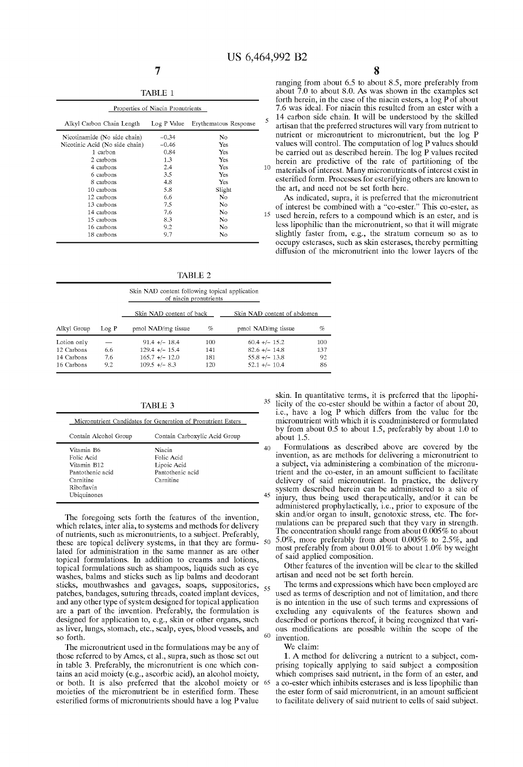|                                | Properties of Niacin Pronutrients |                       |
|--------------------------------|-----------------------------------|-----------------------|
| Alkyl Carbon Chain Length      | Log P Value                       | Erythematous Response |
| Nicotinamide (No side chain)   | $-0.34$                           | No.                   |
| Nicotinic Acid (No side chain) | $-0.46$                           | Yes                   |
| 1 carbon                       | 0.84                              | Yes                   |
| 2 carbons                      | 1.3                               | Yes                   |
| 4 carbons                      | 2.4                               | Yes                   |
| 6 carbons                      | 3.5                               | Yes                   |
| 8 carbons                      | 4.8                               | Yes                   |
| 10 carbons                     | 5.8                               | Slight                |
| 12 carbons                     | 6.6                               | No                    |
| 13 carbons                     | 7.5                               | No                    |
| 14 carbons                     | 7.6                               | No                    |
| 15 carbons                     | 8.3                               | No                    |
| 16 carbons                     | 9.2                               | N0                    |
| 18 carbons                     | 9.7                               | No                    |

TABLE 2

|             |       | Skin NAD content following topical application<br>of niacin pronutrients |     |                             |     |
|-------------|-------|--------------------------------------------------------------------------|-----|-----------------------------|-----|
|             |       | Skin NAD content of back                                                 |     | Skin NAD content of abdomen |     |
| Alkyl Group | Log P | pmol NAD/mg tissue                                                       | %   | pmol NAD/mg tissue          | %   |
| Lotion only |       | $91.4 + - 18.4$                                                          | 100 | $60.4 +/- 15.2$             | 100 |
| 12 Carbons  | 6.6   | $129.4$ +/- $15.4$                                                       | 141 | $82.6 + - 14.8$             | 137 |
| 14 Carbons  | 7.6   | $165.7 + - 12.0$                                                         | 181 | $55.8 + - 13.8$             | 92  |
| 16 Carbons  | 9.2   | $109.5 + - 8.3$                                                          | 120 | $52.1 +/- 10.4$             | 86  |

| Contain Alcohol Group | Contain Carboxylic Acid Group |
|-----------------------|-------------------------------|
| Vitamin B6            | <b>Niacin</b>                 |
| Folic Acid            | Folic Acid                    |
| Vitamin B12           | Lipoic Acid                   |
| Pantothenic acid      | Pantothenic acid              |
| Carnitine             | Carnitine                     |
| Riboflavin            |                               |
| Ubiquinones           |                               |

lated for administration in the same manner as are other most preferably from about to contract to about to about to about to about to about to by Welght 001 said applied composition. topical formulations. In addition to creams and lotions,  $\sigma$  said applied composition.<br>topical formulations such as shampoos liquids such as every other features of the invention will be clear to the skilled topical formulations such as shampoos, liquids such as eye <sup>Other</sup> features of the invention will be washes balms and sticks such as lin balms and deodorant artisan and need not be set forth herein. washes, balms and sticks such as lip balms and deodorant artisan and need not be set forth herein.<br>sticks, mouthwashes and gavages, soaps, suppositories,  $\epsilon$ . The terms and expressions which have been employed are sticks, mouthwashes and gavages, soaps, suppositories, patches, bandages, suturing threads, coated implant devices, patches, bandages, suturing threads, coated implant devices,  $\frac{3}{2}$  used as terms of description and not of limitation, and there and any other type of system designed for topical application is no intention in the use are a part of the invention. Preferably, the formulation is excluding any equivalents of the features shown and designed for application to, e.g., skin or other organs, such described or portions thereof, it being recogniz as liver, lungs, stomach, etc., scalp, eyes, blood vessels, and ous modifications are possible within the scope of the so forth.

The micronutrient used in the formulations may be any of We claim: those referred to by Ames, et al., supra, such as those set out 1. A method for delivering a nutrient to a subject, com-<br>in table 3. Preferably, the micronutrient is one which con-<br>prising topically applying to said subjec moieties of the micronutrient be in esterified form. These esterified forms of micronutrients should have a log P value

8

ranging from about 6.5 to about 8.5, more preferably from about 7.0 to about 8.0. As Was shoWn in the examples set forth herein, in the case of the niacin esters, a log P of about 7.6 Was ideal. For niacin this resulted from an ester With a 14 carbon side chain. It Will be understood by the skilled artisan that the preferred structures will vary from nutrient to nutrient or micronutrient to micronutrient, but the log P values will control. The computation of log P values should be carried out as described herein. The log P values recited herein are predictive of the rate of partitioning of the  $10$ materials of interest. Many micronutrients of interest exist in esterified form. Processes for esterifying others are known to the art, and need not be set forth here.

As indicated, supra, it is preferred that the micronutrient of interest be combined with a "co-ester." This co-ester, as  $15$  used herein refers to a compound which is an ester and is used herein, refers to a compound which is an ester, and is less lipophilic than the micronutrient, so that it will migrate slightly faster from, e.g., the stratum corneum so as to occupy esterases, such as skin esterases, thereby permitting diffusion of the micronutrient into the lower layers of the

skin. In quantitative terms, it is preferred that the lipophi TABLE 3  $35 \text{licity of the co-ester should be within a factor of about 20,}$ i.e., have a log P Which differs from the value for the micronutrient with which it is coadministered or formulated by from about 0.5 to about 1.5, preferably by about 1.0 to about  $1.5$ 

Formulations as described above are covered by the invention, as are methods for delivering a micronutrient to a subject, via administering a combination of the micronutrient and the co-ester, in an amount sufficient to facilitate delivery of said micronutrient. In practice, the delivery system described herein can be administered to a site of  $\frac{45}{2}$  in the bing here and the approximation is easy here injury, thus being used therapeutically, and/or it can be administered prophylactically, i.e., prior to exposure of the skin and/or organ to insult, genotoxic stress, etc. The for-The foregoing sets forth the features of the invention,<br>
included to such that they vary in strength.<br>
The formulations can be prepared such that they vary in strength. which relates, inter alia, to systems and methods for delivery mulations can be prepared such that they vary in strength.<br>The concentration should range from about 0.005% to about of nutrients, such as micronutrients, to a subject. Preferably, The concentration should range from about 0.005% to 2.5%, and there are tonical delivery systems in that they are formula 50, 5.0%, more preferably from abou these are topical delivery systems, in that they are formu-  $50^{50}$ .  $\frac{50^{10}}{60}$  more preferably from about 0.01% to about 1.0% by weight

is no intention in the use of such terms and expressions of described or portions thereof, it being recognized that vari-

in table 3. Preferably, the micronutrient is one which con-<br>tains an acid moiety (e.g., ascorbic acid), an alcohol moiety, which comprises said nutrient, in the form of an ester, and or both. It is also preferred that the alcohol moiety or  $65$  a co-ester which inhibits esterases and is less lipophilic than the ester form of said micronutrient, in an amount sufficient to facilitate delivery of said nutrient to cells of said subject.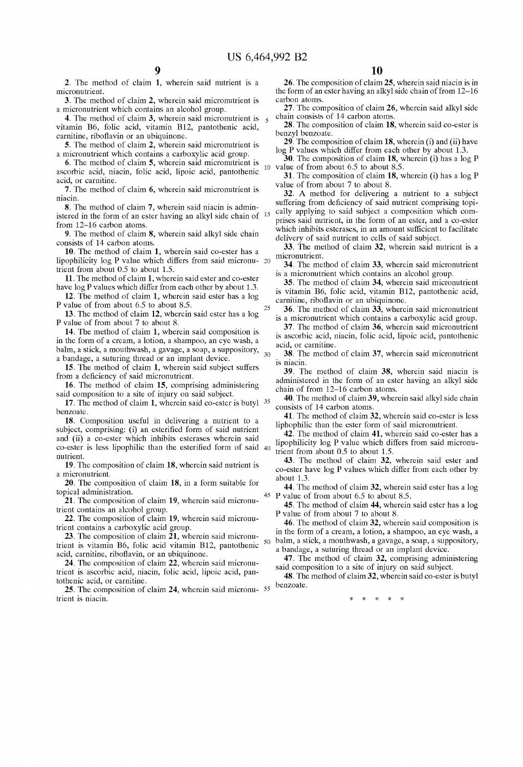2. The method of claim 1, wherein said nutrient is a micronutrient.

3. The method of claim 2, Wherein said micronutrient is a micronutrient Which contains an alcohol group.

4. The method of claim 3, wherein said micronutrient is  $\frac{1}{5}$ vitamin B6, folic acid, vitamin B12, pantothenic acid, carnitine, riboflavin or an ubiquinone.

5. The method of claim 2, Wherein said micronutrient is a micronutrient Which contains a carboXylic acid group.

6. The method of claim 5, Wherein said micronutrient is ascorbic acid, niacin, folic acid, lipoic acid, pantothenic acid, or carnitine.

7. The method of claim 6, Wherein said micronutrient is niacin.

8. The method of claim 7, Wherein said niacin is admin istered in the form of an ester having an alkyl side chain of <sup>15</sup> from 12—16 carbon atoms.

9. The method of claim 8, Wherein said alkyl side chain consists of 14 carbon atoms.

10. The method of claim 1, Wherein said co-ester has a lipophilicity log P value Which differs from said micronu trient from about 0.5 to about 1.5.

11. The method of claim 1, Wherein said ester and co-ester have log P values Which differ from each other by about 1.3.

12. The method of claim 1, Wherein said ester has a log P value of from about 6.5 to about 8.5. 25

13. The method of claim 12, Wherein said ester has a log P value of from about 7 to about 8.

14. The method of claim 1, Wherein said composition is in the form of a cream, a lotion, a shampoo, an eye Wash, a balm, a stick, a mouthwash, a gavage, a soap, a suppository,  $\frac{1}{30}$ a bandage, a suturing thread or an implant device.

15. The method of claim 1, Wherein said subject suffers from a deficiency of said micronutrient.

16. The method of claim 15, comprising administering said composition to a site of injury on said subject.

17. The method of claim 1, wherein said co-ester is butyl <sup>35</sup> benzoate.

18. Composition useful in delivering a nutrient to a subject, comprising: (i) an esterified form of said nutrient and (ii) a co-ester Which inhibits esterases Wherein said  $\cos$ -ester is less lipophilic than the esterified form of said  $40$ nutrient.

19. The composition of claim 18, Wherein said nutrient is a micronutrient.

20. The composition of claim 18, in a form suitable for topical administration.

21. The composition of claim 19, wherein said micronutrient contains an alcohol group.

22. The composition of claim 19, Wherein said micronu trient contains a carboXylic acid group.

23. The composition of claim 21, Wherein said micronu trient is vitamin B6, folic acid vitamin B12, pantothenic  $50$ acid, carnitine, riboflavin, or an ubiquinone.

24. The composition of claim 22, Wherein said micronu trient is ascorbic acid, niacin, folic acid, lipoic acid, pan tothenic acid, or carnitine.

25. The composition of claim 24, wherein said micronu- <sup>55</sup> trient is niacin.

26. The composition of claim 25, Wherein said niacin is in the form of an ester having an alkyl side chain of from 12—16 carbon atoms.

27. The composition of claim 26, Wherein said alkyl side chain consists of 14 carbon atoms.

28. The composition of claim 18, Wherein said co-ester is benzyl benzoate.

29. The composition of claim  $18$ , wherein (i) and (ii) have log P values Which differ from each other by about 1.3.

1O value of from about 6.5 to about 8.5. **30**. The composition of claim  $18$ , wherein (i) has a log P

31. The composition of claim  $18$ , wherein (i) has a log P value of from about 7 to about 8.

32. A method for delivering a nutrient to a subject suffering from deficiency of said nutrient comprising topically applying to said subject a composition Which com prises said nutrient, in the form of an ester, and a co-ester which inhibits esterases, in an amount sufficient to facilitate delivery of said nutrient to cells of said subject.

33. The method of claim 32, Wherein said nutrient is a micronutrient.

34. The method of claim 33, Wherein said micronutrient is a micronutrient Which contains an alcohol group.

35. The method of claim 34, Wherein said micronutrient is vitamin B6, folic acid, vitamin B12, pantothenic acid, carnitine, riboflavin or an ubiquinone.

36. The method of claim 33, Wherein said micronutrient is a micronutrient which contains a carboxylic acid group.

37. The method of claim 36, Wherein said micronutrient is ascorbic acid, niacin, folic acid, lipoic acid, pantothenic acid, or carnitine.

38. The method of claim 37, Wherein said micronutrient is niacin.

39. The method of claim 38, Wherein said niacin is administered in the form of an ester having an alkyl side chain of from 12—16 carbon atoms.

40. The method of claim 39, Wherein said alkyl side chain consists of 14 carbon atoms.

41. The method of claim 32, Wherein said co-ester is less liphophilic than the ester form of said micronutrient.

42. The method of claim 41, Wherein said co-ester has a lipophilicity log P value Which differs from said micronu trient from about 0.5 to about 1.5.

43. The method of claim 32, Wherein said ester and co-ester have log P values Which differ from each other by about 1.3.

45 P 44. The method of claim 32, wherein said ester has a log value of from about 6.5 to about 8.5.

45. The method of claim 44, Wherein said ester has a log P value of from about 7 to about 8.

46. The method of claim 32, Wherein said composition is in the form of a cream, a lotion, a shampoo, an eye Wash, a balm, a stick, a mouthWash, a gavage, a soap, a suppository, a bandage, a suturing thread or an implant device.

47. The method of claim 32, comprising administering

said composition to a site of injury on said subject. 48. The method of claim 32, Wherein said co-ester is butyl benzoate.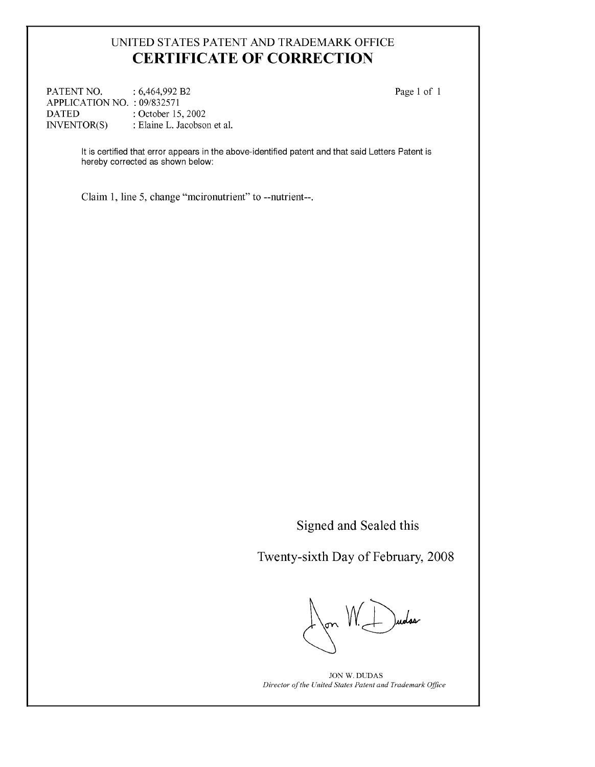## UNITED STATES PATENT AND TRADEMARK OFFICE CERTIFICATE OF CORRECTION

PATENT NO. : 6,464,992 B2 Page 1 of 1 APPLICATION NO. : 09/832571 DATED : October 15, 2002<br>INVENTOR(S) : Elaine L. Jacobso : Elaine L. Jacobson et al.

It is certified that error appears in the above-identified patent and that said Letters Patent is hereby corrected as shown below:

Claim 1, line 5, change "mcironutrient" to --nutrient--.

Signed and Sealed this

Twenty-sixth Day of February, 2008

on  $V \leftarrow$  )uolos

JON W. DUDAS Director of the United States Patent and Trademark Office